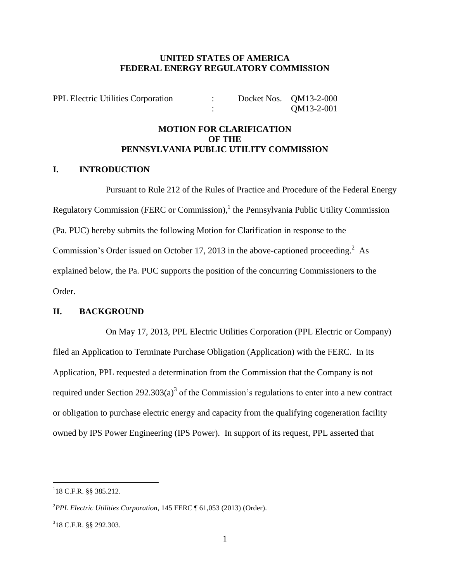#### **UNITED STATES OF AMERICA FEDERAL ENERGY REGULATORY COMMISSION**

PPL Electric Utilities Corporation : Docket Nos. QM13-2-000 : QM13-2-001

### **MOTION FOR CLARIFICATION OF THE PENNSYLVANIA PUBLIC UTILITY COMMISSION**

#### **I. INTRODUCTION**

Pursuant to Rule 212 of the Rules of Practice and Procedure of the Federal Energy Regulatory Commission (FERC or Commission), $<sup>1</sup>$  the Pennsylvania Public Utility Commission</sup> (Pa. PUC) hereby submits the following Motion for Clarification in response to the Commission's Order issued on October 17, 2013 in the above-captioned proceeding.<sup>2</sup> As explained below, the Pa. PUC supports the position of the concurring Commissioners to the Order.

#### **II. BACKGROUND**

On May 17, 2013, PPL Electric Utilities Corporation (PPL Electric or Company) filed an Application to Terminate Purchase Obligation (Application) with the FERC. In its Application, PPL requested a determination from the Commission that the Company is not required under Section 292.303(a)<sup>3</sup> of the Commission's regulations to enter into a new contract or obligation to purchase electric energy and capacity from the qualifying cogeneration facility owned by IPS Power Engineering (IPS Power). In support of its request, PPL asserted that

 $118$  C.F.R. §§ 385.212.

<sup>2</sup>*PPL Electric Utilities Corporation*, 145 FERC ¶ 61,053 (2013) (Order).

 $318$  C.F.R. §§ 292.303.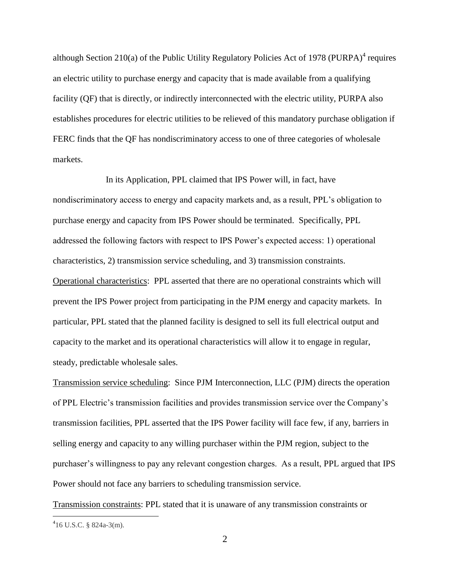although Section 210(a) of the Public Utility Regulatory Policies Act of 1978 (PURPA) $<sup>4</sup>$  requires</sup> an electric utility to purchase energy and capacity that is made available from a qualifying facility (QF) that is directly, or indirectly interconnected with the electric utility, PURPA also establishes procedures for electric utilities to be relieved of this mandatory purchase obligation if FERC finds that the QF has nondiscriminatory access to one of three categories of wholesale markets.

In its Application, PPL claimed that IPS Power will, in fact, have nondiscriminatory access to energy and capacity markets and, as a result, PPL's obligation to purchase energy and capacity from IPS Power should be terminated. Specifically, PPL addressed the following factors with respect to IPS Power's expected access: 1) operational characteristics, 2) transmission service scheduling, and 3) transmission constraints. Operational characteristics: PPL asserted that there are no operational constraints which will prevent the IPS Power project from participating in the PJM energy and capacity markets. In particular, PPL stated that the planned facility is designed to sell its full electrical output and capacity to the market and its operational characteristics will allow it to engage in regular, steady, predictable wholesale sales.

Transmission service scheduling: Since PJM Interconnection, LLC (PJM) directs the operation of PPL Electric's transmission facilities and provides transmission service over the Company's transmission facilities, PPL asserted that the IPS Power facility will face few, if any, barriers in selling energy and capacity to any willing purchaser within the PJM region, subject to the purchaser's willingness to pay any relevant congestion charges. As a result, PPL argued that IPS Power should not face any barriers to scheduling transmission service.

Transmission constraints: PPL stated that it is unaware of any transmission constraints or

 $416$  U.S.C. § 824a-3(m).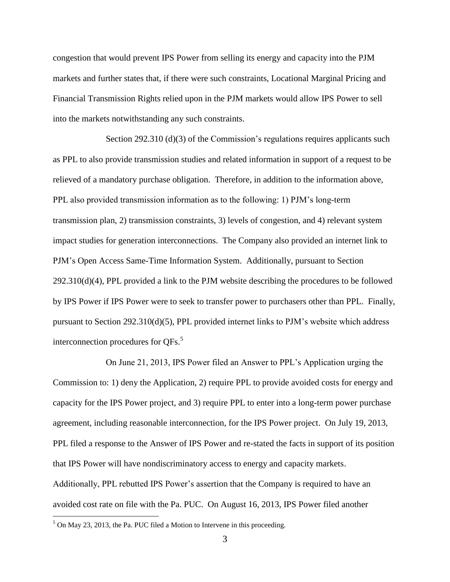congestion that would prevent IPS Power from selling its energy and capacity into the PJM markets and further states that, if there were such constraints, Locational Marginal Pricing and Financial Transmission Rights relied upon in the PJM markets would allow IPS Power to sell into the markets notwithstanding any such constraints.

Section 292.310 (d)(3) of the Commission's regulations requires applicants such as PPL to also provide transmission studies and related information in support of a request to be relieved of a mandatory purchase obligation. Therefore, in addition to the information above, PPL also provided transmission information as to the following: 1) PJM's long-term transmission plan, 2) transmission constraints, 3) levels of congestion, and 4) relevant system impact studies for generation interconnections. The Company also provided an internet link to PJM's Open Access Same-Time Information System. Additionally, pursuant to Section 292.310(d)(4), PPL provided a link to the PJM website describing the procedures to be followed by IPS Power if IPS Power were to seek to transfer power to purchasers other than PPL. Finally, pursuant to Section 292.310(d)(5), PPL provided internet links to PJM's website which address interconnection procedures for QFs.<sup>5</sup>

On June 21, 2013, IPS Power filed an Answer to PPL's Application urging the Commission to: 1) deny the Application, 2) require PPL to provide avoided costs for energy and capacity for the IPS Power project, and 3) require PPL to enter into a long-term power purchase agreement, including reasonable interconnection, for the IPS Power project. On July 19, 2013, PPL filed a response to the Answer of IPS Power and re-stated the facts in support of its position that IPS Power will have nondiscriminatory access to energy and capacity markets. Additionally, PPL rebutted IPS Power's assertion that the Company is required to have an avoided cost rate on file with the Pa. PUC. On August 16, 2013, IPS Power filed another

 $5$  On May 23, 2013, the Pa. PUC filed a Motion to Intervene in this proceeding.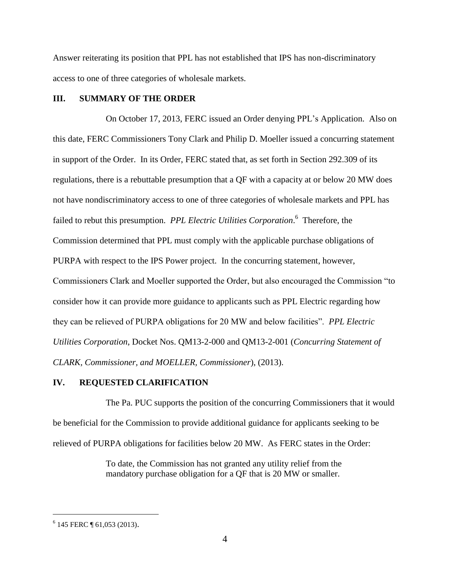Answer reiterating its position that PPL has not established that IPS has non-discriminatory access to one of three categories of wholesale markets.

#### **III. SUMMARY OF THE ORDER**

On October 17, 2013, FERC issued an Order denying PPL's Application. Also on this date, FERC Commissioners Tony Clark and Philip D. Moeller issued a concurring statement in support of the Order. In its Order, FERC stated that, as set forth in Section 292.309 of its regulations, there is a rebuttable presumption that a QF with a capacity at or below 20 MW does not have nondiscriminatory access to one of three categories of wholesale markets and PPL has failed to rebut this presumption. *PPL Electric Utilities Corporation*. 6 Therefore, the Commission determined that PPL must comply with the applicable purchase obligations of PURPA with respect to the IPS Power project. In the concurring statement, however, Commissioners Clark and Moeller supported the Order, but also encouraged the Commission "to consider how it can provide more guidance to applicants such as PPL Electric regarding how they can be relieved of PURPA obligations for 20 MW and below facilities". *PPL Electric Utilities Corporation*, Docket Nos. QM13-2-000 and QM13-2-001 (*Concurring Statement of CLARK, Commissioner, and MOELLER, Commissioner*), (2013).

#### **IV. REQUESTED CLARIFICATION**

The Pa. PUC supports the position of the concurring Commissioners that it would be beneficial for the Commission to provide additional guidance for applicants seeking to be relieved of PURPA obligations for facilities below 20 MW. As FERC states in the Order:

> To date, the Commission has not granted any utility relief from the mandatory purchase obligation for a QF that is 20 MW or smaller.

<sup>&</sup>lt;sup>6</sup> 145 FERC ¶ 61,053 (2013).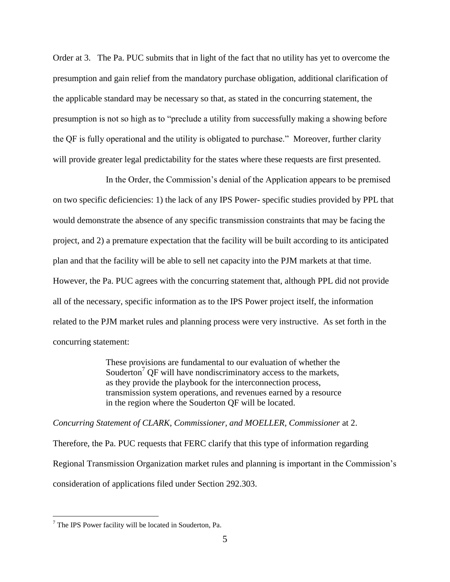Order at 3. The Pa. PUC submits that in light of the fact that no utility has yet to overcome the presumption and gain relief from the mandatory purchase obligation, additional clarification of the applicable standard may be necessary so that, as stated in the concurring statement, the presumption is not so high as to "preclude a utility from successfully making a showing before the QF is fully operational and the utility is obligated to purchase." Moreover, further clarity will provide greater legal predictability for the states where these requests are first presented.

In the Order, the Commission's denial of the Application appears to be premised on two specific deficiencies: 1) the lack of any IPS Power- specific studies provided by PPL that would demonstrate the absence of any specific transmission constraints that may be facing the project, and 2) a premature expectation that the facility will be built according to its anticipated plan and that the facility will be able to sell net capacity into the PJM markets at that time. However, the Pa. PUC agrees with the concurring statement that, although PPL did not provide all of the necessary, specific information as to the IPS Power project itself, the information related to the PJM market rules and planning process were very instructive. As set forth in the concurring statement:

> These provisions are fundamental to our evaluation of whether the Souderton<sup>7</sup> OF will have nondiscriminatory access to the markets, as they provide the playbook for the interconnection process, transmission system operations, and revenues earned by a resource in the region where the Souderton QF will be located.

*Concurring Statement of CLARK, Commissioner, and MOELLER, Commissioner* at 2.

Therefore, the Pa. PUC requests that FERC clarify that this type of information regarding Regional Transmission Organization market rules and planning is important in the Commission's consideration of applications filed under Section 292.303.

 $<sup>7</sup>$  The IPS Power facility will be located in Souderton, Pa.</sup>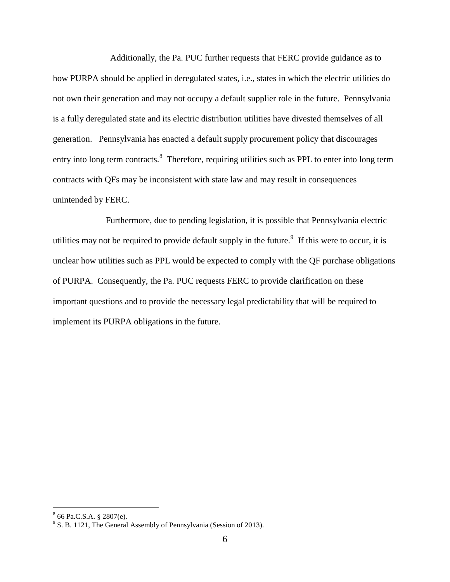Additionally, the Pa. PUC further requests that FERC provide guidance as to how PURPA should be applied in deregulated states, i.e., states in which the electric utilities do not own their generation and may not occupy a default supplier role in the future. Pennsylvania is a fully deregulated state and its electric distribution utilities have divested themselves of all generation. Pennsylvania has enacted a default supply procurement policy that discourages entry into long term contracts.<sup>8</sup> Therefore, requiring utilities such as PPL to enter into long term contracts with QFs may be inconsistent with state law and may result in consequences unintended by FERC.

Furthermore, due to pending legislation, it is possible that Pennsylvania electric utilities may not be required to provide default supply in the future.<sup>9</sup> If this were to occur, it is unclear how utilities such as PPL would be expected to comply with the QF purchase obligations of PURPA. Consequently, the Pa. PUC requests FERC to provide clarification on these important questions and to provide the necessary legal predictability that will be required to implement its PURPA obligations in the future.

 8 66 Pa.C.S.A. § 2807(e).

<sup>&</sup>lt;sup>9</sup> S. B. 1121, The General Assembly of Pennsylvania (Session of 2013).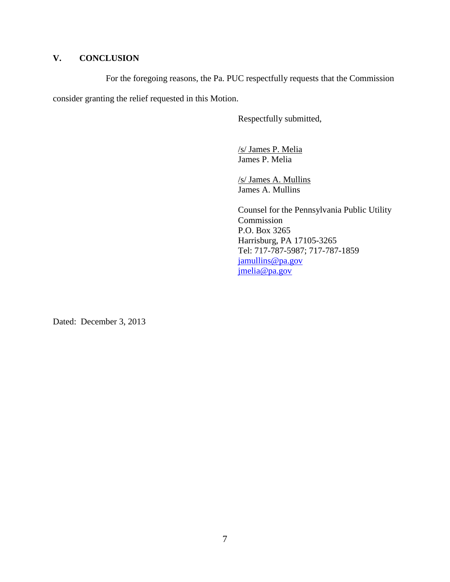## **V. CONCLUSION**

For the foregoing reasons, the Pa. PUC respectfully requests that the Commission

consider granting the relief requested in this Motion.

Respectfully submitted,

/s/ James P. Melia James P. Melia

/s/ James A. Mullins James A. Mullins

Counsel for the Pennsylvania Public Utility Commission P.O. Box 3265 Harrisburg, PA 17105-3265 Tel: 717-787-5987; 717-787-1859 [jamullins@pa.gov](mailto:jamullins@pa.gov) [jmelia@pa.gov](mailto:jmelia@pa.gov)

Dated: December 3, 2013